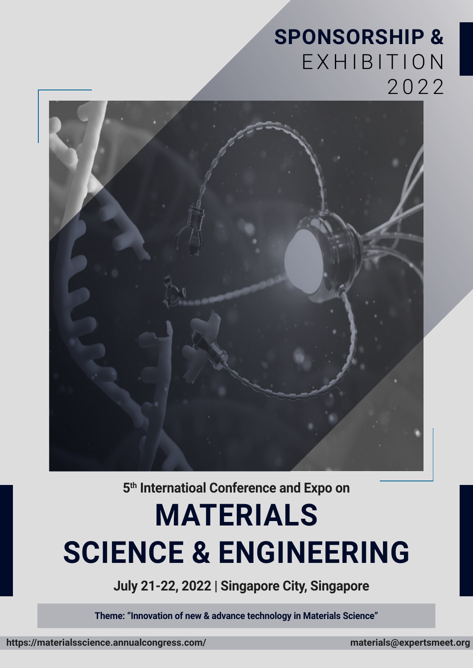### **SPONSORSHIP &**  EXHIBITION 2022



**5th Internatioal Conference and Expo on**

# **MATERIALS SCIENCE & ENGINEERING**

**July 21-22, 2022 | Singapore City, Singapore**

**Theme: "Innovation of new & advance technology in Materials Science"**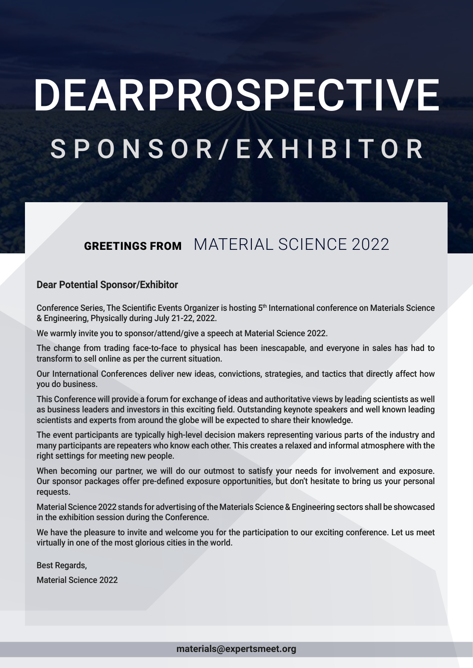# DEARPROSPECTIVE SPONSOR/EXHIBITOR

### GREETINGS FROM MATERIAL SCIENCE 2022

### **Dear Potential Sponsor/Exhibitor**

Conference Series, The Scientific Events Organizer is hosting 5<sup>th</sup> International conference on Materials Science & Engineering, Physically during July 21-22, 2022.

We warmly invite you to sponsor/attend/give a speech at Material Science 2022.

The change from trading face-to-face to physical has been inescapable, and everyone in sales has had to transform to sell online as per the current situation.

Our International Conferences deliver new ideas, convictions, strategies, and tactics that directly affect how you do business.

This Conference will provide a forum for exchange of ideas and authoritative views by leading scientists as well as business leaders and investors in this exciting field. Outstanding keynote speakers and well known leading scientists and experts from around the globe will be expected to share their knowledge.

The event participants are typically high-level decision makers representing various parts of the industry and many participants are repeaters who know each other. This creates a relaxed and informal atmosphere with the right settings for meeting new people.

When becoming our partner, we will do our outmost to satisfy your needs for involvement and exposure. Our sponsor packages offer pre-defined exposure opportunities, but don't hesitate to bring us your personal requests.

Material Science 2022 stands for advertising of the Materials Science & Engineering sectors shall be showcased in the exhibition session during the Conference.

We have the pleasure to invite and welcome you for the participation to our exciting conference. Let us meet virtually in one of the most glorious cities in the world.

Best Regards,

Material Science 2022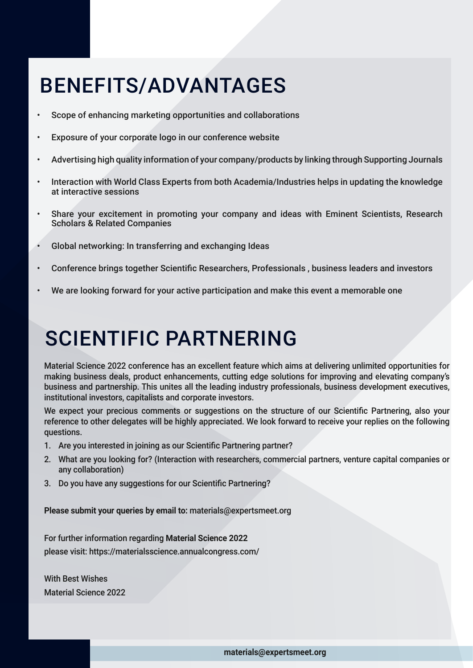## BENEFITS/ADVANTAGES

- Scope of enhancing marketing opportunities and collaborations
- Exposure of your corporate logo in our conference website
- Advertising high quality information of your company/products by linking through Supporting Journals
- Interaction with World Class Experts from both Academia/Industries helps in updating the knowledge at interactive sessions
- Share your excitement in promoting your company and ideas with Eminent Scientists, Research Scholars & Related Companies
- Global networking: In transferring and exchanging Ideas
- Conference brings together Scientific Researchers, Professionals , business leaders and investors
- We are looking forward for your active participation and make this event a memorable one

### SCIENTIFIC PARTNERING

Material Science 2022 conference has an excellent feature which aims at delivering unlimited opportunities for making business deals, product enhancements, cutting edge solutions for improving and elevating company's business and partnership. This unites all the leading industry professionals, business development executives, institutional investors, capitalists and corporate investors.

We expect your precious comments or suggestions on the structure of our Scientific Partnering, also your reference to other delegates will be highly appreciated. We look forward to receive your replies on the following questions.

- 1. Are you interested in joining as our Scientific Partnering partner?
- 2. What are you looking for? (Interaction with researchers, commercial partners, venture capital companies or any collaboration)
- 3. Do you have any suggestions for our Scientific Partnering?

**Please submit your queries by email to:** materials@expertsmeet.org

For further information regarding **Material Science 2022** please visit: https://materialsscience.annualcongress.com/

With Best Wishes Material Science 2022